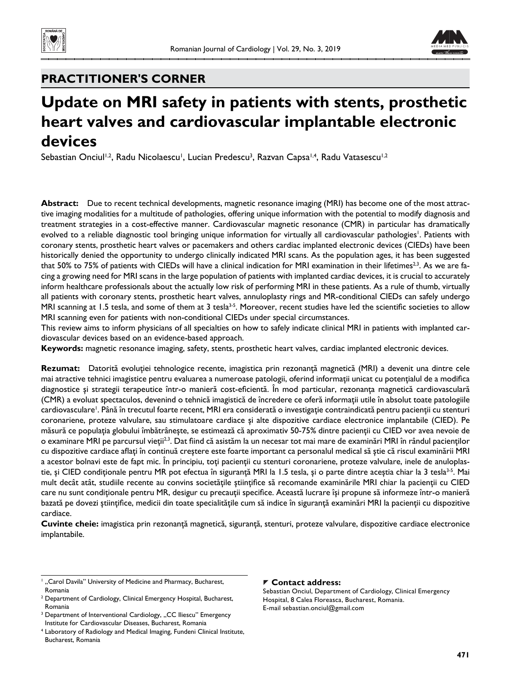



# **PRACTITIONER'S CORNER**

# **Update on MRI safety in patients with stents, prosthetic heart valves and cardiovascular implantable electronic devices**

Sebastian Onciul<sup>1,2</sup>, Radu Nicolaescu<sup>1</sup>, Lucian Predescu<sup>3</sup>, Razvan Capsa<sup>1,4</sup>, Radu Vatasescu<sup>1,2</sup>

**Abstract:** Due to recent technical developments, magnetic resonance imaging (MRI) has become one of the most attractive imaging modalities for a multitude of pathologies, offering unique information with the potential to modify diagnosis and treatment strategies in a cost-effective manner. Cardiovascular magnetic resonance (CMR) in particular has dramatically evolved to a reliable diagnostic tool bringing unique information for virtually all cardiovascular pathologies<sup>1</sup>. Patients with coronary stents, prosthetic heart valves or pacemakers and others cardiac implanted electronic devices (CIEDs) have been historically denied the opportunity to undergo clinically indicated MRI scans. As the population ages, it has been suggested that 50% to 75% of patients with CIEDs will have a clinical indication for MRI examination in their lifetimes<sup>2,3</sup>. As we are facing a growing need for MRI scans in the large population of patients with implanted cardiac devices, it is crucial to accurately inform healthcare professionals about the actually low risk of performing MRI in these patients. As a rule of thumb, virtually all patients with coronary stents, prosthetic heart valves, annuloplasty rings and MR-conditional CIEDs can safely undergo MRI scanning at 1.5 tesla, and some of them at 3 tesla<sup>3-5</sup>. Moreover, recent studies have led the scientific societies to allow MRI scanning even for patients with non-conditional CIEDs under special circumstances.

This review aims to inform physicians of all specialties on how to safely indicate clinical MRI in patients with implanted cardiovascular devices based on an evidence-based approach.

**Keywords:** magnetic resonance imaging, safety, stents, prosthetic heart valves, cardiac implanted electronic devices.

**Rezumat:** Datorită evoluţiei tehnologice recente, imagistica prin rezonanţă magnetică (MRI) a devenit una dintre cele mai atractive tehnici imagistice pentru evaluarea a numeroase patologii, oferind informații unicat cu potențialul de a modifica diagnostice și strategii terapeutice într-o manieră cost-eficientă. În mod particular, rezonanța magnetică cardiovasculară (CMR) a evoluat spectaculos, devenind o tehnică imagistică de încredere ce oferă informaţii utile în absolut toate patologiile cardiovasculare<sup>1</sup>. Până în trecutul foarte recent, MRI era considerată o investigație contraindicată pentru pacienții cu stenturi coronariene, proteze valvulare, sau stimulatoare cardiace şi alte dispozitive cardiace electronice implantabile (CIED). Pe măsură ce populaţia globului îmbătrâneşte, se estimează că aproximativ 50-75% dintre pacienţii cu CIED vor avea nevoie de o examinare MRI pe parcursul vieții<sup>2,3</sup>. Dat fiind că asistăm la un necesar tot mai mare de examinări MRI în rândul pacienților cu dispozitive cardiace aflați în continuă creștere este foarte important ca personalul medical să știe că riscul examinării MRI a acestor bolnavi este de fapt mic. În principiu, toţi pacienţii cu stenturi coronariene, proteze valvulare, inele de anuloplastie, și CIED condiționale pentru MR pot efectua în siguranță MRI la 1.5 tesla, și o parte dintre aceștia chiar la 3 tesla<sup>3-5</sup>. Mai mult decât atât, studiile recente au convins societățile științifice să recomande examinările MRI chiar la pacienții cu CIED care nu sunt condiționale pentru MR, desigur cu precauții specifice. Această lucrare își propune să informeze într-o manieră bazată pe dovezi științifice, medicii din toate specialitățile cum să indice în siguranță examinări MRI la pacienții cu dispozitive cardiace.

**Cuvinte cheie:** imagistica prin rezonanţă magnetică, siguranţă, stenturi, proteze valvulare, dispozitive cardiace electronice implantabile.

### **Contact address:**

Sebastian Onciul, Department of Cardiology, Clinical Emergency Hospital, 8 Calea Floreasca, Bucharest, Romania. E-mail sebastian.onciul@gmail.com

<sup>&</sup>lt;sup>1</sup>, "Carol Davila" University of Medicine and Pharmacy, Bucharest, Romania

<sup>&</sup>lt;sup>2</sup> Department of Cardiology, Clinical Emergency Hospital, Bucharest, Romania

<sup>&</sup>lt;sup>3</sup> Department of Interventional Cardiology, "CC Iliescu" Emergency Institute for Cardiovascular Diseases, Bucharest, Romania

<sup>4</sup> Laboratory of Radiology and Medical Imaging, Fundeni Clinical Institute, Bucharest, Romania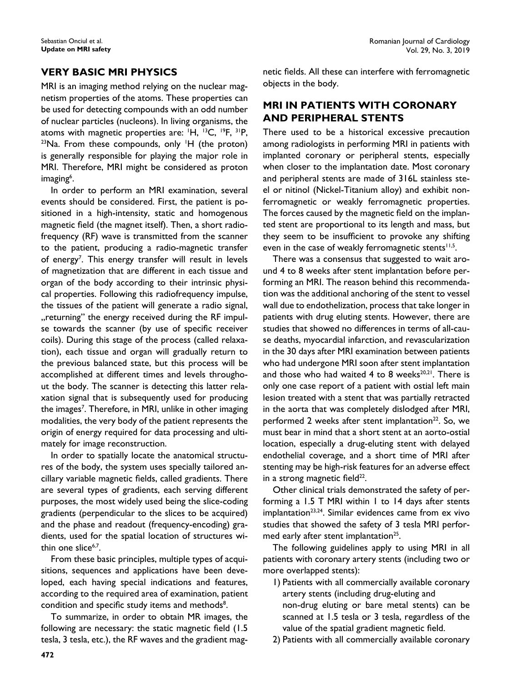### **VERY BASIC MRI PHYSICS**

MRI is an imaging method relying on the nuclear magnetism properties of the atoms. These properties can be used for detecting compounds with an odd number of nuclear particles (nucleons). In living organisms, the atoms with magnetic properties are:  $H$ ,  $^{13}C$ ,  $^{19}F$ ,  $^{31}P$ , atoms with magnetic properties are: 'H, <sup>13</sup>C, <sup>19</sup>F, <sup>31</sup>P,<br><sup>23</sup>Na. From these compounds, only 'H (the proton) is generally responsible for playing the major role in MRI. Therefore, MRI might be considered as proton imaging<sup>6</sup>.

In order to perform an MRI examination, several events should be considered. First, the patient is positioned in a high-intensity, static and homogenous magnetic field (the magnet itself). Then, a short radiofrequency (RF) wave is transmitted from the scanner to the patient, producing a radio-magnetic transfer of energy<sup>7</sup>. This energy transfer will result in levels of magnetization that are different in each tissue and organ of the body according to their intrinsic physical properties. Following this radiofrequency impulse, the tissues of the patient will generate a radio signal, "returning" the energy received during the RF impulse towards the scanner (by use of specific receiver coils). During this stage of the process (called relaxation), each tissue and organ will gradually return to the previous balanced state, but this process will be accomplished at different times and levels throughout the body. The scanner is detecting this latter relaxation signal that is subsequently used for producing the images<sup>7</sup>. Therefore, in MRI, unlike in other imaging modalities, the very body of the patient represents the origin of energy required for data processing and ultimately for image reconstruction.

In order to spatially locate the anatomical structures of the body, the system uses specially tailored ancillary variable magnetic fields, called gradients. There are several types of gradients, each serving different purposes, the most widely used being the slice-coding gradients (perpendicular to the slices to be acquired) and the phase and readout (frequency-encoding) gradients, used for the spatial location of structures within one slice $6,7$ .

From these basic principles, multiple types of acquisitions, sequences and applications have been developed, each having special indications and features, according to the required area of examination, patient condition and specific study items and methods<sup>8</sup>.

To summarize, in order to obtain MR images, the following are necessary: the static magnetic field  $(1.5)$ tesla, 3 tesla, etc.), the RF waves and the gradient magnetic fields. All these can interfere with ferromagnetic objects in the body.

### **MRI IN PATIENTS WITH CORONARY AND PERIPHERAL STENTS**

There used to be a historical excessive precaution among radiologists in performing MRI in patients with implanted coronary or peripheral stents, especially when closer to the implantation date. Most coronary and peripheral stents are made of 316L stainless steel or nitinol (Nickel-Titanium alloy) and exhibit nonferromagnetic or weakly ferromagnetic properties. The forces caused by the magnetic field on the implanted stent are proportional to its length and mass, but they seem to be insufficient to provoke any shifting even in the case of weakly ferromagnetic stents $11,5$ .

There was a consensus that suggested to wait around 4 to 8 weeks after stent implantation before performing an MRI. The reason behind this recommendation was the additional anchoring of the stent to vessel wall due to endothelization, process that take longer in patients with drug eluting stents. However, there are studies that showed no differences in terms of all-cause deaths, myocardial infarction, and revascularization in the 30 days after MRI examination between patients who had undergone MRI soon after stent implantation and those who had waited 4 to 8 weeks $^{20,21}$ . There is only one case report of a patient with ostial left main lesion treated with a stent that was partially retracted in the aorta that was completely dislodged after MRI, performed 2 weeks after stent implantation<sup>22</sup>. So, we must bear in mind that a short stent at an aorto-ostial location, especially a drug-eluting stent with delayed endothelial coverage, and a short time of MRI after stenting may be high-risk features for an adverse effect in a strong magnetic field $^{22}$ .

Other clinical trials demonstrated the safety of performing a 1.5 T MRI within 1 to 14 days after stents implantation<sup>23,24</sup>. Similar evidences came from ex vivo studies that showed the safety of 3 tesla MRI performed early after stent implantation<sup>25</sup>.

The following guidelines apply to using MRI in all patients with coronary artery stents (including two or more overlapped stents):

- 1) Patients with all commercially available coronary artery stents (including drug-eluting and non-drug eluting or bare metal stents) can be scanned at 1.5 tesla or 3 tesla, regardless of the value of the spatial gradient magnetic field.
- 2) Patients with all commercially available coronary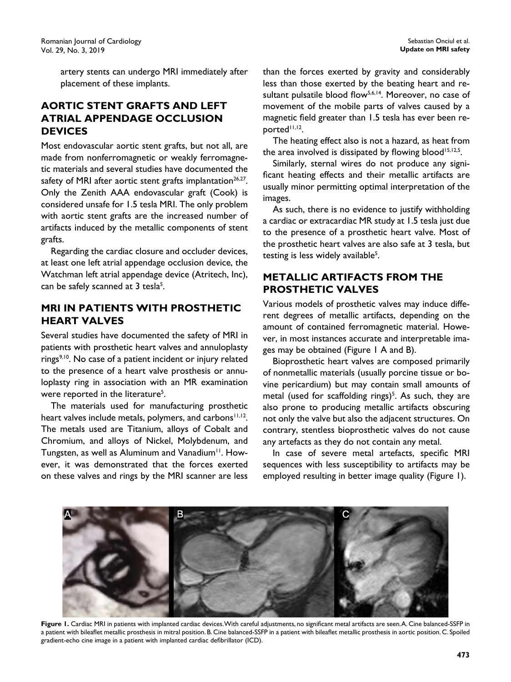artery stents can undergo MRI immediately after placement of these implants.

# **AORTIC STENT GRAFTS AND LEFT ATRIAL APPENDAGE OCCLUSION DEVICES**

Most endovascular aortic stent grafts, but not all, are made from nonferromagnetic or weakly ferromagnetic materials and several studies have documented the safety of MRI after aortic stent grafts implantation $26.27$ . Only the Zenith AAA endovascular graft (Cook) is considered unsafe for 1.5 tesla MRI. The only problem with aortic stent grafts are the increased number of artifacts induced by the metallic components of stent grafts.

Regarding the cardiac closure and occluder devices, at least one left atrial appendage occlusion device, the Watchman left atrial appendage device (Atritech, Inc), can be safely scanned at 3 tesla<sup>5</sup>.

# **MRI IN PATIENTS WITH PROSTHETIC HEART VALVES**

Several studies have documented the safety of MRI in patients with prosthetic heart valves and annuloplasty rings<sup>9,10</sup>. No case of a patient incident or injury related to the presence of a heart valve prosthesis or annuloplasty ring in association with an MR examination were reported in the literature<sup>5</sup>.

The materials used for manufacturing prosthetic heart valves include metals, polymers, and carbons<sup>11,12</sup>. The metals used are Titanium, alloys of Cobalt and Chromium, and alloys of Nickel, Molybdenum, and Tungsten, as well as Aluminum and Vanadium<sup>11</sup>. However, it was demonstrated that the forces exerted on these valves and rings by the MRI scanner are less

than the forces exerted by gravity and considerably less than those exerted by the beating heart and resultant pulsatile blood flow<sup>5,6,14</sup>. Moreover, no case of movement of the mobile parts of valves caused by a magnetic field greater than 1.5 tesla has ever been re $b^{\text{opted}}$ <sup>11,12</sup>.

The heating effect also is not a hazard, as heat from the area involved is dissipated by flowing blood<sup>15,12,5</sup>.

Similarly, sternal wires do not produce any significant heating effects and their metallic artifacts are usually minor permitting optimal interpretation of the images.

As such, there is no evidence to justify withholding a cardiac or extracardiac MR study at 1.5 tesla just due to the presence of a prosthetic heart valve. Most of the prosthetic heart valves are also safe at 3 tesla, but testing is less widely available<sup>5</sup>.

# **METALLIC ARTIFACTS FROM THE PROSTHETIC VALVES**

Various models of prosthetic valves may induce different degrees of metallic artifacts, depending on the amount of contained ferromagnetic material. However, in most instances accurate and interpretable images may be obtained (Figure 1 A and B).

Bioprosthetic heart valves are composed primarily of nonmetallic materials (usually porcine tissue or bovine pericardium) but may contain small amounts of metal (used for scaffolding rings)<sup>5</sup>. As such, they are also prone to producing metallic artifacts obscuring not only the valve but also the adjacent structures. On contrary, stentless bioprosthetic valves do not cause any artefacts as they do not contain any metal.

In case of severe metal artefacts, specific MRI sequences with less susceptibility to artifacts may be employed resulting in better image quality (Figure 1).



Figure 1. Cardiac MRI in patients with implanted cardiac devices. With careful adjustments, no significant metal artifacts are seen. A. Cine balanced-SSFP in a patient with bileaflet metallic prosthesis in mitral position. B. Cine balanced-SSFP in a patient with bileaflet metallic prosthesis in aortic position. C. Spoiled gradient-echo cine image in a patient with implanted cardiac defibrillator (ICD).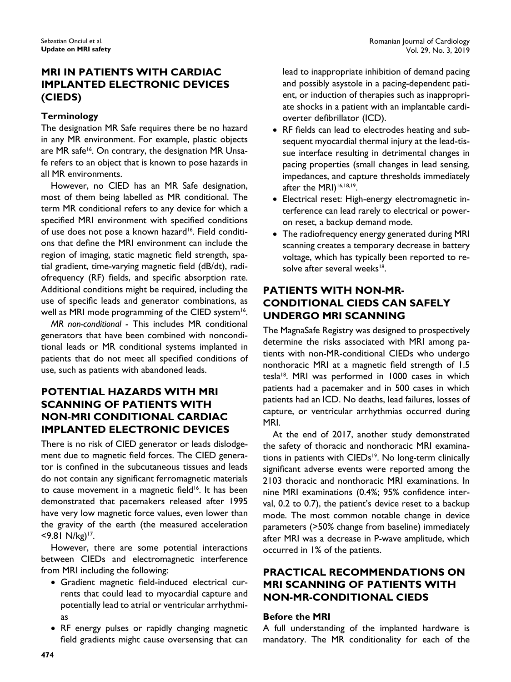# **MRI IN PATIENTS WITH CARDIAC IMPLANTED ELECTRONIC DEVICES (CIEDS)**

### **Terminology**

The designation MR Safe requires there be no hazard in any MR environment. For example, plastic objects are MR safe<sup>16</sup>. On contrary, the designation MR Unsafe refers to an object that is known to pose hazards in all MR environments.

However, no CIED has an MR Safe designation, most of them being labelled as MR conditional. The term MR conditional refers to any device for which a specified MRI environment with specified conditions of use does not pose a known hazard<sup>16</sup>. Field conditions that define the MRI environment can include the region of imaging, static magnetic field strength, spatial gradient, time-varying magnetic field (dB/dt), radiofrequency (RF) fields, and specific absorption rate. Additional conditions might be required, including the use of specific leads and generator combinations, as well as MRI mode programming of the CIED system<sup>16</sup>.

*MR non-conditional* - This includes MR conditional generators that have been combined with nonconditional leads or MR conditional systems implanted in patients that do not meet all specified conditions of use, such as patients with abandoned leads.

# **POTENTIAL HAZARDS WITH MRI SCANNING OF PATIENTS WITH NON-MRI CONDITIONAL CARDIAC IMPLANTED ELECTRONIC DEVICES**

There is no risk of CIED generator or leads dislodgement due to magnetic field forces. The CIED generator is confined in the subcutaneous tissues and leads do not contain any significant ferromagnetic materials to cause movement in a magnetic field<sup>16</sup>. It has been demonstrated that pacemakers released after 1995 have very low magnetic force values, even lower than the gravity of the earth (the measured acceleration  $<$ 9.81 N/kg)<sup>17</sup>.

However, there are some potential interactions between CIEDs and electromagnetic interference from MRI including the following:

- Gradient magnetic field-induced electrical currents that could lead to myocardial capture and potentially lead to atrial or ventricular arrhythmias
- RF energy pulses or rapidly changing magnetic field gradients might cause oversensing that can

lead to inappropriate inhibition of demand pacing and possibly asystole in a pacing-dependent patient, or induction of therapies such as inappropriate shocks in a patient with an implantable cardioverter defibrillator (ICD).

- RF fields can lead to electrodes heating and subsequent myocardial thermal injury at the lead-tissue interface resulting in detrimental changes in pacing properties (small changes in lead sensing, impedances, and capture thresholds immediately after the MRI)<sup>16,18,19</sup>.
- Electrical reset: High-energy electromagnetic interference can lead rarely to electrical or poweron reset, a backup demand mode.
- The radiofrequency energy generated during MRI scanning creates a temporary decrease in battery voltage, which has typically been reported to resolve after several weeks<sup>18</sup>.

# **PATIENTS WITH NON-MR-CONDITIONAL CIEDS CAN SAFELY UNDERGO MRI SCANNING**

The MagnaSafe Registry was designed to prospectively determine the risks associated with MRI among patients with non-MR-conditional CIEDs who undergo nonthoracic MRI at a magnetic field strength of 1.5 tesla<sup>18</sup>. MRI was performed in 1000 cases in which patients had a pacemaker and in 500 cases in which patients had an ICD. No deaths, lead failures, losses of capture, or ventricular arrhythmias occurred during MRI.

At the end of 2017, another study demonstrated the safety of thoracic and nonthoracic MRI examinations in patients with CIEDs<sup>19</sup>. No long-term clinically significant adverse events were reported among the 2103 thoracic and nonthoracic MRI examinations. In nine MRI examinations (0.4%; 95% confidence interval, 0.2 to 0.7), the patient's device reset to a backup mode. The most common notable change in device parameters (>50% change from baseline) immediately after MRI was a decrease in P-wave amplitude, which occurred in 1% of the patients.

# **PRACTICAL RECOMMENDATIONS ON MRI SCANNING OF PATIENTS WITH NON-MR-CONDITIONAL CIEDS**

### **Before the MRI**

A full understanding of the implanted hardware is mandatory. The MR conditionality for each of the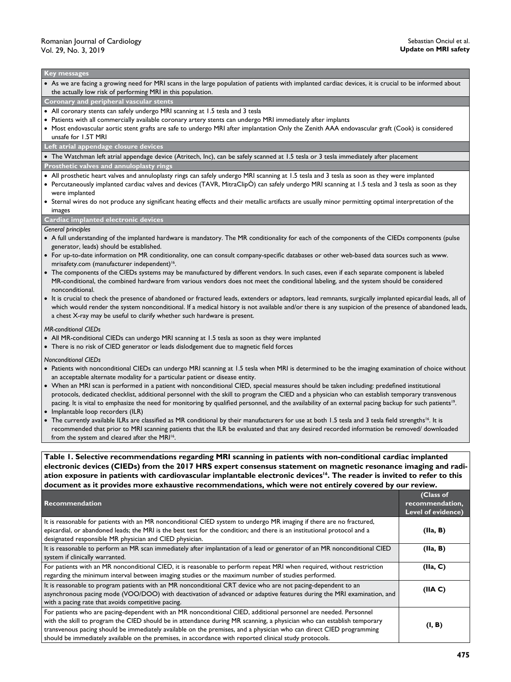#### **Key messages**

 As we are facing a growing need for MRI scans in the large population of patients with implanted cardiac devices, it is crucial to be informed about the actually low risk of performing MRI in this population.

#### **Coronary and peripheral vascular stents**

- All coronary stents can safely undergo MRI scanning at 1.5 tesla and 3 tesla
- Patients with all commercially available coronary artery stents can undergo MRI immediately after implants
- Most endovascular aortic stent grafts are safe to undergo MRI after implantation Only the Zenith AAA endovascular graft (Cook) is considered unsafe for 1.5T MRI

#### **Left atrial appendage closure devices**

The Watchman left atrial appendage device (Atritech, Inc), can be safely scanned at 1.5 tesla or 3 tesla immediately after placement

#### **Prosthetic valves and annuloplasty rings**

- All prosthetic heart valves and annuloplasty rings can safely undergo MRI scanning at 1.5 tesla and 3 tesla as soon as they were implanted
- Percutaneously implanted cardiac valves and devices (TAVR, MitraClipÒ) can safely undergo MRI scanning at 1.5 tesla and 3 tesla as soon as they were implanted
- Sternal wires do not produce any significant heating effects and their metallic artifacts are usually minor permitting optimal interpretation of the images

#### **Cardiac implanted electronic devices**

#### *General principles*

- A full understanding of the implanted hardware is mandatory. The MR conditionality for each of the components of the CIEDs components (pulse generator, leads) should be established.
- For up-to-date information on MR conditionality, one can consult company-specific databases or other web-based data sources such as www. mrisafety.com (manufacturer independent)<sup>16</sup>.
- The components of the CIEDs systems may be manufactured by different vendors. In such cases, even if each separate component is labeled MR-conditional, the combined hardware from various vendors does not meet the conditional labeling, and the system should be considered nonconditional.
- It is crucial to check the presence of abandoned or fractured leads, extenders or adaptors, lead remnants, surgically implanted epicardial leads, all of which would render the system nonconditional. If a medical history is not available and/or there is any suspicion of the presence of abandoned leads, a chest X-ray may be useful to clarify whether such hardware is present.

#### *MR-conditional CIEDs*

- All MR-conditional CIEDs can undergo MRI scanning at 1.5 tesla as soon as they were implanted
- There is no risk of CIED generator or leads dislodgement due to magnetic field forces

*Nonconditional CIEDs*

- Patients with nonconditional CIEDs can undergo MRI scanning at 1.5 tesla when MRI is determined to be the imaging examination of choice without an acceptable alternate modality for a particular patient or disease entity.
- When an MRI scan is performed in a patient with nonconditional CIED, special measures should be taken including: predefined institutional protocols, dedicated checklist, additional personnel with the skill to program the CIED and a physician who can establish temporary transvenous pacing. It is vital to emphasize the need for monitoring by qualified personnel, and the availability of an external pacing backup for such patients<sup>19</sup>.
- Implantable loop recorders (ILR)
- The currently available ILRs are classified as MR conditional by their manufacturers for use at both 1.5 tesla and 3 tesla field strengths<sup>16</sup>. It is recommended that prior to MRI scanning patients that the ILR be evaluated and that any desired recorded information be removed/ downloaded from the system and cleared after the MRI<sup>16</sup>.

**Table 1. Selective recommendations regarding MRI scanning in patients with non-conditional cardiac implanted electronic devices (CIEDs) from the 2017 HRS expert consensus statement on magnetic resonance imaging and radi**ation exposure in patients with cardiovascular implantable electronic devices<sup>16</sup>. The reader is invited to refer to this **document as it provides more exhaustive recommendations, which were not entirely covered by our review.**

|                                                                                                                                                                                                                                                                                                                                                                                                                                                                             | (Class of          |
|-----------------------------------------------------------------------------------------------------------------------------------------------------------------------------------------------------------------------------------------------------------------------------------------------------------------------------------------------------------------------------------------------------------------------------------------------------------------------------|--------------------|
| Recommendation                                                                                                                                                                                                                                                                                                                                                                                                                                                              | recommendation,    |
|                                                                                                                                                                                                                                                                                                                                                                                                                                                                             | Level of evidence) |
| It is reasonable for patients with an MR nonconditional CIED system to undergo MR imaging if there are no fractured,<br>epicardial, or abandoned leads; the MRI is the best test for the condition; and there is an institutional protocol and a<br>designated responsible MR physician and CIED physician.                                                                                                                                                                 | (IIa, B)           |
| It is reasonable to perform an MR scan immediately after implantation of a lead or generator of an MR nonconditional CIED<br>system if clinically warranted.                                                                                                                                                                                                                                                                                                                | (IIa, B)           |
| For patients with an MR nonconditional CIED, it is reasonable to perform repeat MRI when required, without restriction<br>regarding the minimum interval between imaging studies or the maximum number of studies performed.                                                                                                                                                                                                                                                | (IIa, C)           |
| It is reasonable to program patients with an MR nonconditional CRT device who are not pacing-dependent to an<br>asynchronous pacing mode (VOO/DOO) with deactivation of advanced or adaptive features during the MRI examination, and<br>with a pacing rate that avoids competitive pacing.                                                                                                                                                                                 | (IIAC)             |
| For patients who are pacing-dependent with an MR nonconditional CIED, additional personnel are needed. Personnel<br>with the skill to program the CIED should be in attendance during MR scanning, a physician who can establish temporary<br>transvenous pacing should be immediately available on the premises, and a physician who can direct CIED programming<br>should be immediately available on the premises, in accordance with reported clinical study protocols. | (I, B)             |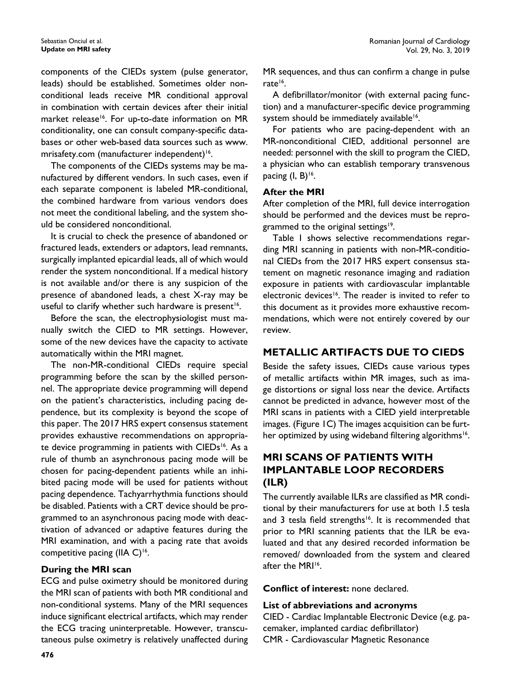components of the CIEDs system (pulse generator, leads) should be established. Sometimes older nonconditional leads receive MR conditional approval in combination with certain devices after their initial market release<sup>16</sup>. For up-to-date information on MR conditionality, one can consult company-specific databases or other web-based data sources such as www. mrisafety.com (manufacturer independent)<sup>16</sup>.

The components of the CIEDs systems may be manufactured by different vendors. In such cases, even if each separate component is labeled MR-conditional, the combined hardware from various vendors does not meet the conditional labeling, and the system should be considered nonconditional.

It is crucial to check the presence of abandoned or fractured leads, extenders or adaptors, lead remnants, surgically implanted epicardial leads, all of which would render the system nonconditional. If a medical history is not available and/or there is any suspicion of the presence of abandoned leads, a chest X-ray may be useful to clarify whether such hardware is present<sup>16</sup>.

Before the scan, the electrophysiologist must manually switch the CIED to MR settings. However, some of the new devices have the capacity to activate automatically within the MRI magnet.

The non-MR-conditional CIEDs require special programming before the scan by the skilled personnel. The appropriate device programming will depend on the patient's characteristics, including pacing dependence, but its complexity is beyond the scope of this paper. The 2017 HRS expert consensus statement provides exhaustive recommendations on appropriate device programming in patients with CIEDs<sup>16</sup>. As a rule of thumb an asynchronous pacing mode will be chosen for pacing-dependent patients while an inhibited pacing mode will be used for patients without pacing dependence. Tachyarrhythmia functions should be disabled. Patients with a CRT device should be programmed to an asynchronous pacing mode with deactivation of advanced or adaptive features during the MRI examination, and with a pacing rate that avoids competitive pacing (IIA C)<sup>16</sup>.

### **During the MRI scan**

ECG and pulse oximetry should be monitored during the MRI scan of patients with both MR conditional and non-conditional systems. Many of the MRI sequences induce significant electrical artifacts, which may render the ECG tracing uninterpretable. However, transcutaneous pulse oximetry is relatively unaffected during MR sequences, and thus can confirm a change in pulse rate<sup>16</sup>.

A defibrillator/monitor (with external pacing function) and a manufacturer-specific device programming system should be immediately available<sup>16</sup>.

For patients who are pacing-dependent with an MR-nonconditional CIED, additional personnel are needed: personnel with the skill to program the CIED, a physician who can establish temporary transvenous pacing  $(I, B)^{16}$ .

### **After the MRI**

After completion of the MRI, full device interrogation should be performed and the devices must be reprogrammed to the original settings<sup>19</sup>.

Table 1 shows selective recommendations regarding MRI scanning in patients with non-MR-conditional CIEDs from the 2017 HRS expert consensus statement on magnetic resonance imaging and radiation exposure in patients with cardiovascular implantable electronic devices<sup>16</sup>. The reader is invited to refer to this document as it provides more exhaustive recommendations, which were not entirely covered by our review.

### **METALLIC ARTIFACTS DUE TO CIEDS**

Beside the safety issues, CIEDs cause various types of metallic artifacts within MR images, such as image distortions or signal loss near the device. Artifacts cannot be predicted in advance, however most of the MRI scans in patients with a CIED yield interpretable images. (Figure 1C) The images acquisition can be further optimized by using wideband filtering algorithms<sup>16</sup>.

# **MRI SCANS OF PATIENTS WITH IMPLANTABLE LOOP RECORDERS (ILR)**

The currently available ILRs are classified as MR conditional by their manufacturers for use at both 1.5 tesla and 3 tesla field strengths<sup>16</sup>. It is recommended that prior to MRI scanning patients that the ILR be evaluated and that any desired recorded information be removed/ downloaded from the system and cleared after the MRI<sup>16</sup>.

**Conflict of interest:** none declared.

### **List of abbreviations and acronyms**

CIED - Cardiac Implantable Electronic Device (e.g. pacemaker, implanted cardiac defibrillator) CMR - Cardiovascular Magnetic Resonance